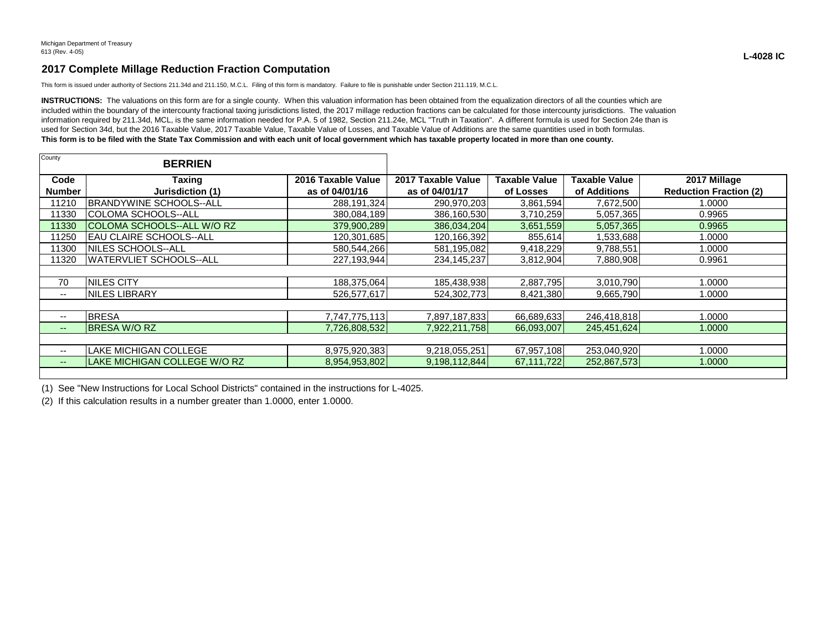## **2017 Complete Millage Reduction Fraction Computation**

This form is issued under authority of Sections 211.34d and 211.150, M.C.L. Filing of this form is mandatory. Failure to file is punishable under Section 211.119, M.C.L.

INSTRUCTIONS: The valuations on this form are for a single county. When this valuation information has been obtained from the equalization directors of all the counties which are included within the boundary of the intercounty fractional taxing jurisdictions listed, the 2017 millage reduction fractions can be calculated for those intercounty jurisdictions. The valuation information required by 211.34d, MCL, is the same information needed for P.A. 5 of 1982, Section 211.24e, MCL "Truth in Taxation". A different formula is used for Section 24e than is used for Section 34d, but the 2016 Taxable Value, 2017 Taxable Value, Taxable Value of Losses, and Taxable Value of Additions are the same quantities used in both formulas. **This form is to be filed with the State Tax Commission and with each unit of local government which has taxable property located in more than one county.**

| County                   | <b>BERRIEN</b>                 |                                      |                                      |                                   |                               |                                               |
|--------------------------|--------------------------------|--------------------------------------|--------------------------------------|-----------------------------------|-------------------------------|-----------------------------------------------|
| Code<br><b>Number</b>    | Taxing<br>Jurisdiction (1)     | 2016 Taxable Value<br>as of 04/01/16 | 2017 Taxable Value<br>as of 04/01/17 | <b>Taxable Value</b><br>of Losses | Taxable Value<br>of Additions | 2017 Millage<br><b>Reduction Fraction (2)</b> |
| 1210                     | BRANDYWINE SCHOOLS--ALL        | 288,191,324                          | 290,970,203                          | 3,861,594                         | 7,672,500                     | 0000.1                                        |
| 1330                     | COLOMA SCHOOLS--ALL            | 380,084,189                          | 386,160,530                          | 3,710,259                         | 5,057,365                     | 0.9965                                        |
| 11330                    | COLOMA SCHOOLS--ALL W/O RZ     | 379,900,289                          | 386,034,204                          | 3,651,559                         | 5,057,365                     | 0.9965                                        |
| 1250                     | IEAU CLAIRE SCHOOLS--ALL       | 120,301,685                          | 120,166,392                          | 855,614                           | 1,533,688                     | 1.0000                                        |
| 1300                     | <b>INILES SCHOOLS--ALL</b>     | 580,544,266                          | 581,195,082                          | 9,418,229                         | 9,788,551                     | 1.0000                                        |
| 1320                     | <b>WATERVLIET SCHOOLS--ALL</b> | 227,193,944                          | 234, 145, 237                        | 3,812,904                         | 7,880,908                     | 0.9961                                        |
|                          |                                |                                      |                                      |                                   |                               |                                               |
| 70                       | <b>NILES CITY</b>              | 188,375,064                          | 185,438,938                          | 2,887,795                         | 3,010,790                     | 1.0000                                        |
| $- -$                    | INILES LIBRARY                 | 526,577,617                          | 524,302,773                          | 8,421,380                         | 9,665,790                     | 1.0000                                        |
|                          |                                |                                      |                                      |                                   |                               |                                               |
| $\overline{\phantom{a}}$ | <b>BRESA</b>                   | 7,747,775,113                        | 7,897,187,833                        | 66,689,633                        | 246,418,818                   | 1.0000                                        |
| $\qquad \qquad \cdots$   | <b>BRESA W/O RZ</b>            | 7,726,808,532                        | 7,922,211,758                        | 66,093,007                        | 245,451,624                   | 1.0000                                        |
|                          |                                |                                      |                                      |                                   |                               |                                               |
| $- -$                    | <b>LAKE MICHIGAN COLLEGE</b>   | 8,975,920,383                        | 9,218,055,251                        | 67,957,108                        | 253,040,920                   | 1.0000                                        |
| $- -$                    | LAKE MICHIGAN COLLEGE W/O RZ   | 8,954,953,802                        | 9,198,112,844                        | 67,111,722                        | 252,867,573                   | 1.0000                                        |
|                          |                                |                                      |                                      |                                   |                               |                                               |

(1) See "New Instructions for Local School Districts" contained in the instructions for L-4025.

(2) If this calculation results in a number greater than 1.0000, enter 1.0000.